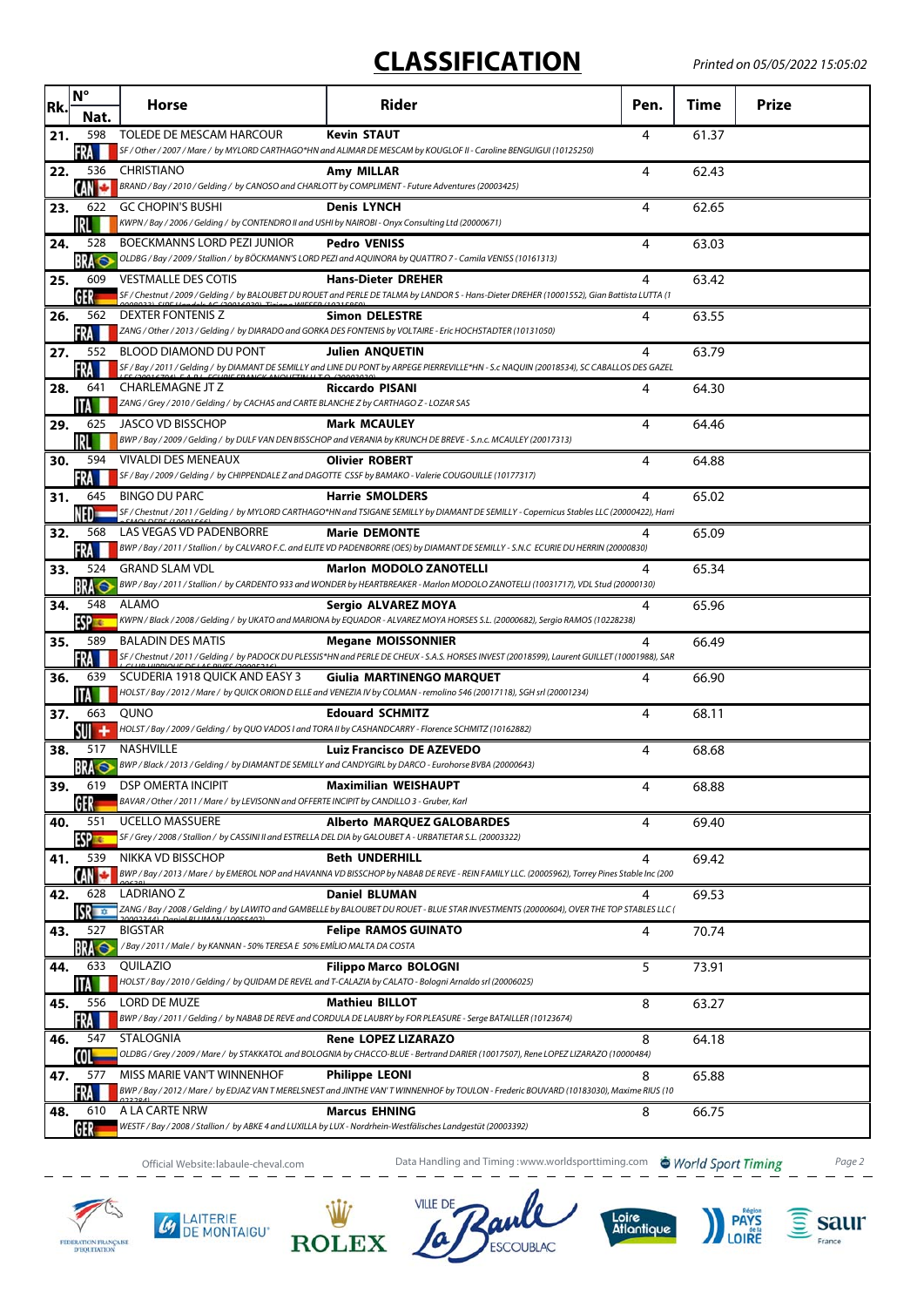## **CLASSIFICATION**

| Rk. | $N^{\circ}$          | Horse                                                                                                                          | Rider                                                                                                                                                                       | Pen. | <b>Time</b> | <b>Prize</b> |
|-----|----------------------|--------------------------------------------------------------------------------------------------------------------------------|-----------------------------------------------------------------------------------------------------------------------------------------------------------------------------|------|-------------|--------------|
|     | Nat.                 |                                                                                                                                |                                                                                                                                                                             |      |             |              |
| 21. | 598<br>FRA           | TOLEDE DE MESCAM HARCOUR                                                                                                       | <b>Kevin STAUT</b><br>SF / Other / 2007 / Mare / by MYLORD CARTHAGO*HN and ALIMAR DE MESCAM by KOUGLOF II - Caroline BENGUIGUI (10125250)                                   | 4    | 61.37       |              |
| 22. | 536                  | <b>CHRISTIANO</b>                                                                                                              | Amy MILLAR                                                                                                                                                                  | 4    | 62.43       |              |
|     | CAN                  | BRAND / Bay / 2010 / Gelding / by CANOSO and CHARLOTT by COMPLIMENT - Future Adventures (20003425)                             |                                                                                                                                                                             |      |             |              |
| 23. | 622<br>IRL           | <b>GC CHOPIN'S BUSHI</b><br>KWPN / Bay / 2006 / Gelding / by CONTENDRO II and USHI by NAIROBI - Onyx Consulting Ltd (20000671) | <b>Denis LYNCH</b>                                                                                                                                                          | 4    | 62.65       |              |
| 24. | 528                  | BOECKMANNS LORD PEZI JUNIOR                                                                                                    | <b>Pedro VENISS</b>                                                                                                                                                         | 4    | 63.03       |              |
|     | <b>BRA</b>           |                                                                                                                                | OLDBG / Bay / 2009 / Stallion / by BÖCKMANN'S LORD PEZI and AQUINORA by QUATTRO 7 - Camila VENISS (10161313)                                                                |      |             |              |
| 25. | 609<br>GER           | <b>VESTMALLE DES COTIS</b>                                                                                                     | <b>Hans-Dieter DREHER</b><br>SF / Chestnut / 2009 / Gelding / by BALOUBET DU ROUET and PERLE DE TALMA by LANDOR S - Hans-Dieter DREHER (10001552), Gian Battista LUTTA (1   | 4    | 63.42       |              |
| 26. | 562                  | $(20016020)$ Timigroa WIECED (1)<br>DEXTER FONTENIS Z                                                                          | <b>Simon DELESTRE</b>                                                                                                                                                       | 4    | 63.55       |              |
|     | FRA                  |                                                                                                                                | ZANG / Other / 2013 / Gelding / by DIARADO and GORKA DES FONTENIS by VOLTAIRE - Eric HOCHSTADTER (10131050)                                                                 |      |             |              |
| 27. | 552                  | BLOOD DIAMOND DU PONT                                                                                                          | <b>Julien ANQUETIN</b>                                                                                                                                                      | 4    | 63.79       |              |
|     | FRA<br>641           | <b>IC COANCY ANOUCTINU TO</b><br>CHARLEMAGNE JT Z                                                                              | SF / Bay / 2011 / Gelding / by DIAMANT DE SEMILLY and LINE DU PONT by ARPEGE PIERREVILLE*HN - S.c NAQUIN (20018534), SC CABALLOS DES GAZEL<br><b>Riccardo PISANI</b>        |      |             |              |
| 28. | НA                   | ZANG / Grey / 2010 / Gelding / by CACHAS and CARTE BLANCHE Z by CARTHAGO Z - LOZAR SAS                                         |                                                                                                                                                                             | 4    | 64.30       |              |
| 29. | 625                  | JASCO VD BISSCHOP                                                                                                              | <b>Mark MCAULEY</b>                                                                                                                                                         | 4    | 64.46       |              |
|     | IRLI                 |                                                                                                                                | BWP / Bay / 2009 / Gelding / by DULF VAN DEN BISSCHOP and VERANIA by KRUNCH DE BREVE - S.n.c. MCAULEY (20017313)                                                            |      |             |              |
| 30. | 594                  | <b>VIVALDI DES MENEAUX</b>                                                                                                     | <b>Olivier ROBERT</b><br>SF / Bay / 2009 / Gelding / by CHIPPENDALE Z and DAGOTTE CSSF by BAMAKO - Valerie COUGOUILLE (10177317)                                            | 4    | 64.88       |              |
| 31. | FRA<br>645           | <b>BINGO DU PARC</b>                                                                                                           | <b>Harrie SMOLDERS</b>                                                                                                                                                      | 4    | 65.02       |              |
|     | NED -                |                                                                                                                                | SF / Chestnut / 2011 / Gelding / by MYLORD CARTHAGO*HN and TSIGANE SEMILLY by DIAMANT DE SEMILLY - Copernicus Stables LLC (20000422), Harri                                 |      |             |              |
| 32. | 568                  | LAS VEGAS VD PADENBORRE                                                                                                        | <b>Marie DEMONTE</b>                                                                                                                                                        | 4    | 65.09       |              |
|     | FRA<br>524           | <b>GRAND SLAM VDL</b>                                                                                                          | BWP / Bay / 2011 / Stallion / by CALVARO F.C. and ELITE VD PADENBORRE (OES) by DIAMANT DE SEMILLY - S.N.C ECURIE DU HERRIN (20000830)<br><b>Marlon MODOLO ZANOTELLI</b>     |      |             |              |
| 33. | <b>BRA</b>           |                                                                                                                                | BWP / Bay / 2011 / Stallion / by CARDENTO 933 and WONDER by HEARTBREAKER - Marlon MODOLO ZANOTELLI (10031717), VDL Stud (20000130)                                          | 4    | 65.34       |              |
| 34. | 548                  | ALAMO                                                                                                                          | Sergio ALVAREZ MOYA                                                                                                                                                         | 4    | 65.96       |              |
|     | ESP <sub>E</sub>     |                                                                                                                                | KWPN / Black / 2008 / Gelding / by UKATO and MARIONA by EQUADOR - ALVAREZ MOYA HORSES S.L. (20000682), Sergio RAMOS (10228238)                                              |      |             |              |
| 35. | 589<br>FRA           | <b>BALADIN DES MATIS</b>                                                                                                       | <b>Megane MOISSONNIER</b><br>SF / Chestnut / 2011 / Gelding / by PADOCK DU PLESSIS*HN and PERLE DE CHEUX - S.A.S. HORSES INVEST (20018599), Laurent GUILLET (10001988), SAR | 4    | 66.49       |              |
| 36. | 639                  | SCUDERIA 1918 QUICK AND EASY 3                                                                                                 | Giulia MARTINENGO MARQUET                                                                                                                                                   | 4    | 66.90       |              |
|     |                      |                                                                                                                                | HOLST / Bay / 2012 / Mare / by QUICK ORION D ELLE and VENEZIA IV by COLMAN - remolino 546 (20017118), SGH srl (20001234)                                                    |      |             |              |
| 37. | 663<br>sw +          | QUNO                                                                                                                           | <b>Edouard SCHMITZ</b><br>HOLST / Bay / 2009 / Gelding / by QUO VADOS I and TORA II by CASHANDCARRY - Florence SCHMITZ (10162882)                                           | 4    | 68.11       |              |
| 38. | 517                  | <b>NASHVILLE</b>                                                                                                               | <b>Luiz Francisco DE AZEVEDO</b>                                                                                                                                            | 4    | 68.68       |              |
|     | <b>BRA</b> ©         |                                                                                                                                | BWP / Black / 2013 / Gelding / by DIAMANT DE SEMILLY and CANDYGIRL by DARCO - Eurohorse BVBA (20000643)                                                                     |      |             |              |
| 39. | 619                  | <b>DSP OMERTA INCIPIT</b><br>BAVAR / Other / 2011 / Mare / by LEVISONN and OFFERTE INCIPIT by CANDILLO 3 - Gruber, Karl        | <b>Maximilian WEISHAUPT</b>                                                                                                                                                 | 4    | 68.88       |              |
| 40. | 551                  | <b>UCELLO MASSUERE</b>                                                                                                         | <b>Alberto MARQUEZ GALOBARDES</b>                                                                                                                                           | 4    | 69.40       |              |
|     | ESP =                | SF / Grey / 2008 / Stallion / by CASSINI II and ESTRELLA DEL DIA by GALOUBET A - URBATIETAR S.L. (20003322)                    |                                                                                                                                                                             |      |             |              |
| 41. | 539                  | NIKKA VD BISSCHOP                                                                                                              | <b>Beth UNDERHILL</b>                                                                                                                                                       | 4    | 69.42       |              |
|     | CANT                 |                                                                                                                                | BWP / Bay / 2013 / Mare / by EMEROL NOP and HAVANNA VD BISSCHOP by NABAB DE REVE - REIN FAMILY LLC. (20005962), Torrey Pines Stable Inc (200                                |      |             |              |
| 42. | 628<br><b>ISR</b> TO | <b>LADRIANO Z</b>                                                                                                              | <b>Daniel BLUMAN</b><br>ZANG / Bay / 2008 / Gelding / by LAWITO and GAMBELLE by BALOUBET DU ROUET - BLUE STAR INVESTMENTS (20000604), OVER THE TOP STABLES LLC (            | 4    | 69.53       |              |
| 43. | 527                  | <b>BIGSTAR</b>                                                                                                                 | <b>Felipe RAMOS GUINATO</b>                                                                                                                                                 | 4    | 70.74       |              |
|     | <b>BRA</b>           | /Bay / 2011 / Male / by KANNAN - 50% TERESA E 50% EMÍLIO MALTA DA COSTA                                                        |                                                                                                                                                                             |      |             |              |
| 44. | 633                  | QUILAZIO                                                                                                                       | <b>Filippo Marco BOLOGNI</b><br>HOLST / Bay / 2010 / Gelding / by QUIDAM DE REVEL and T-CALAZIA by CALATO - Bologni Arnaldo srl (20006025)                                  | 5    | 73.91       |              |
| 45. | 556                  | LORD DE MUZE                                                                                                                   | <b>Mathieu BILLOT</b>                                                                                                                                                       | 8    | 63.27       |              |
|     | FRA                  |                                                                                                                                | BWP / Bay / 2011 / Gelding / by NABAB DE REVE and CORDULA DE LAUBRY by FOR PLEASURE - Serge BATAILLER (10123674)                                                            |      |             |              |
| 46. | 547<br>COL           | STALOGNIA                                                                                                                      | <b>Rene LOPEZ LIZARAZO</b><br>OLDBG / Grey / 2009 / Mare / by STAKKATOL and BOLOGNIA by CHACCO-BLUE - Bertrand DARIER (10017507), Rene LOPEZ LIZARAZO (10000484)            | 8    | 64.18       |              |
| 47. | 577                  | MISS MARIE VAN'T WINNENHOF                                                                                                     | <b>Philippe LEONI</b>                                                                                                                                                       | 8    | 65.88       |              |
|     | FRA                  |                                                                                                                                | BWP / Bay / 2012 / Mare / by EDJAZ VAN T MERELSNEST and JINTHE VAN' T WINNENHOF by TOULON - Frederic BOUVARD (10183030), Maxime RIUS (10                                    |      |             |              |
| 48. | 610                  | A LA CARTE NRW                                                                                                                 | <b>Marcus EHNING</b>                                                                                                                                                        | 8    | 66.75       |              |
|     | GER                  | WESTF / Bay / 2008 / Stallion / by ABKE 4 and LUXILLA by LUX - Nordrhein-Westfälisches Landgestüt (20003392)                   |                                                                                                                                                                             |      |             |              |

**4** LAITERIE

Official Website:labaule-cheval.com **Data Handling and Timing :www.worldsporttiming.com World Sport Timing** Page 2

**ESCOUBLAC** 

Loire<br>Atlantique

**VILLE DE** 

**ROLEX** 

 $\widehat{\mathbf{S}}$  saur

France

**PAYS**<br>LOIRE